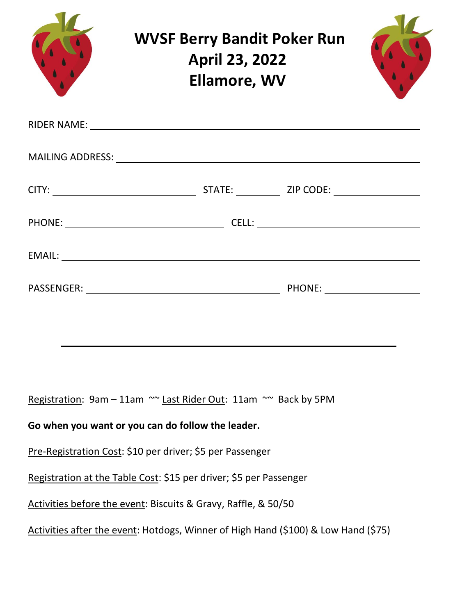| <b>WVSF Berry Bandit Poker Run</b><br><b>April 23, 2022</b><br><b>Ellamore, WV</b>                                                                                                                                            |  |  |
|-------------------------------------------------------------------------------------------------------------------------------------------------------------------------------------------------------------------------------|--|--|
| RIDER NAME: NAME: NAME: NAME: NAME: NAME: NAME: NAME: NAME: NAME: NAME: NAME: NAME: NAME: NAME: NAME: NAME: NAME: NAME: NAME: NAME: NAME: NAME: NAME: NAME: NAME: NAME: NAME: NAME: NAME: NAME: NAME: NAME: NAME: NAME: NAME: |  |  |
|                                                                                                                                                                                                                               |  |  |
|                                                                                                                                                                                                                               |  |  |
|                                                                                                                                                                                                                               |  |  |
|                                                                                                                                                                                                                               |  |  |
|                                                                                                                                                                                                                               |  |  |
|                                                                                                                                                                                                                               |  |  |
|                                                                                                                                                                                                                               |  |  |
| Registration: 9am - 11am ~~ Last Rider Out: 11am ~~ Back by 5PM                                                                                                                                                               |  |  |
| Go when you want or you can do follow the leader.                                                                                                                                                                             |  |  |
| Pre-Registration Cost: \$10 per driver; \$5 per Passenger                                                                                                                                                                     |  |  |
| Registration at the Table Cost: \$15 per driver; \$5 per Passenger                                                                                                                                                            |  |  |
| Activities before the event: Biscuits & Gravy, Raffle, & 50/50                                                                                                                                                                |  |  |
| Activities after the event: Hotdogs, Winner of High Hand (\$100) & Low Hand (\$75)                                                                                                                                            |  |  |
|                                                                                                                                                                                                                               |  |  |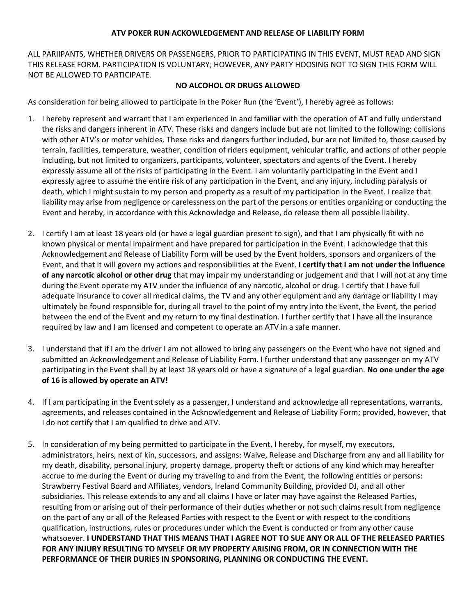## **ATV POKER RUN ACKOWLEDGEMENT AND RELEASE OF LIABILITY FORM**

ALL PARIIPANTS, WHETHER DRIVERS OR PASSENGERS, PRIOR TO PARTICIPATING IN THIS EVENT, MUST READ AND SIGN THIS RELEASE FORM. PARTICIPATION IS VOLUNTARY; HOWEVER, ANY PARTY HOOSING NOT TO SIGN THIS FORM WILL NOT BE ALLOWED TO PARTICIPATE.

## **NO ALCOHOL OR DRUGS ALLOWED**

As consideration for being allowed to participate in the Poker Run (the 'Event'), I hereby agree as follows:

- 1. I hereby represent and warrant that I am experienced in and familiar with the operation of AT and fully understand the risks and dangers inherent in ATV. These risks and dangers include but are not limited to the following: collisions with other ATV's or motor vehicles. These risks and dangers further included, bur are not limited to, those caused by terrain, facilities, temperature, weather, condition of riders equipment, vehicular traffic, and actions of other people including, but not limited to organizers, participants, volunteer, spectators and agents of the Event. I hereby expressly assume all of the risks of participating in the Event. I am voluntarily participating in the Event and I expressly agree to assume the entire risk of any participation in the Event, and any injury, including paralysis or death, which I might sustain to my person and property as a result of my participation in the Event. I realize that liability may arise from negligence or carelessness on the part of the persons or entities organizing or conducting the Event and hereby, in accordance with this Acknowledge and Release, do release them all possible liability.
- 2. I certify I am at least 18 years old (or have a legal guardian present to sign), and that I am physically fit with no known physical or mental impairment and have prepared for participation in the Event. I acknowledge that this Acknowledgement and Release of Liability Form will be used by the Event holders, sponsors and organizers of the Event, and that it will govern my actions and responsibilities at the Event. **I certify that I am not under the influence of any narcotic alcohol or other drug** that may impair my understanding or judgement and that I will not at any time during the Event operate my ATV under the influence of any narcotic, alcohol or drug. I certify that I have full adequate insurance to cover all medical claims, the TV and any other equipment and any damage or liability I may ultimately be found responsible for, during all travel to the point of my entry into the Event, the Event, the period between the end of the Event and my return to my final destination. I further certify that I have all the insurance required by law and I am licensed and competent to operate an ATV in a safe manner.
- 3. I understand that if I am the driver I am not allowed to bring any passengers on the Event who have not signed and submitted an Acknowledgement and Release of Liability Form. I further understand that any passenger on my ATV participating in the Event shall by at least 18 years old or have a signature of a legal guardian. **No one under the age of 16 is allowed by operate an ATV!**
- 4. If I am participating in the Event solely as a passenger, I understand and acknowledge all representations, warrants, agreements, and releases contained in the Acknowledgement and Release of Liability Form; provided, however, that I do not certify that I am qualified to drive and ATV.
- 5. In consideration of my being permitted to participate in the Event, I hereby, for myself, my executors, administrators, heirs, next of kin, successors, and assigns: Waive, Release and Discharge from any and all liability for my death, disability, personal injury, property damage, property theft or actions of any kind which may hereafter accrue to me during the Event or during my traveling to and from the Event, the following entities or persons: Strawberry Festival Board and Affiliates, vendors, Ireland Community Building, provided DJ, and all other subsidiaries. This release extends to any and all claims I have or later may have against the Released Parties, resulting from or arising out of their performance of their duties whether or not such claims result from negligence on the part of any or all of the Released Parties with respect to the Event or with respect to the conditions qualification, instructions, rules or procedures under which the Event is conducted or from any other cause whatsoever. **I UNDERSTAND THAT THIS MEANS THAT I AGREE NOT TO SUE ANY OR ALL OF THE RELEASED PARTIES FOR ANY INJURY RESULTING TO MYSELF OR MY PROPERTY ARISING FROM, OR IN CONNECTION WITH THE PERFORMANCE OF THEIR DURIES IN SPONSORING, PLANNING OR CONDUCTING THE EVENT.**